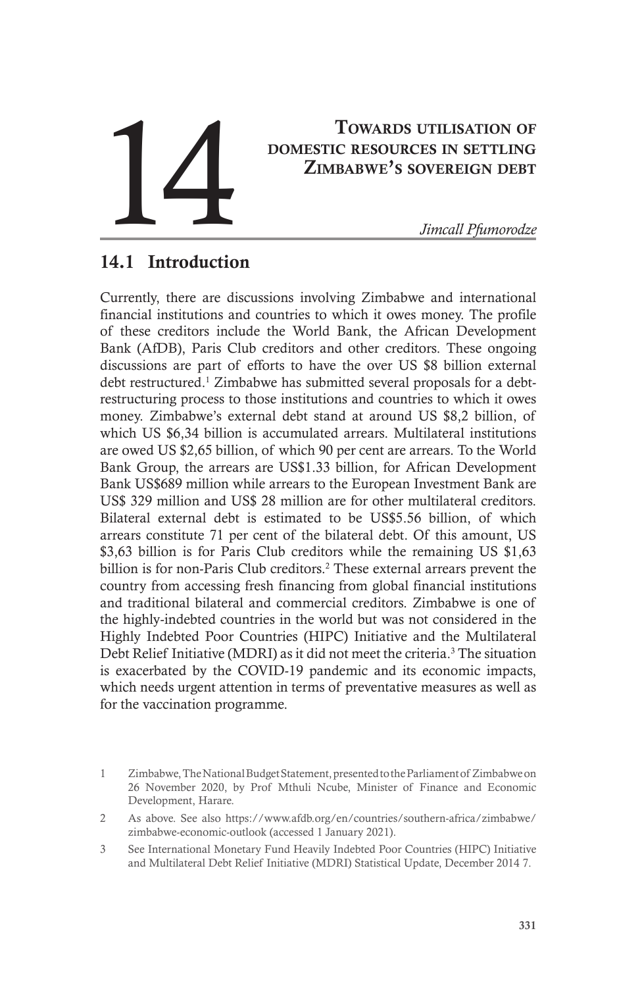# Towards utilisation of domestic resources in settling Zimbabwe's sovereign debt TOWARDS UTILISATION OF DOMESTIC RESOURCES IN SETTLING<br>
ZIMBABWE'S SOVEREIGN DEBT<br>
Jimcall Pfumorodze

# 14.1 Introduction

Currently, there are discussions involving Zimbabwe and international financial institutions and countries to which it owes money. The profile of these creditors include the World Bank, the African Development Bank (AfDB), Paris Club creditors and other creditors. These ongoing discussions are part of efforts to have the over US \$8 billion external debt restructured.<sup>1</sup> Zimbabwe has submitted several proposals for a debtrestructuring process to those institutions and countries to which it owes money. Zimbabwe's external debt stand at around US \$8,2 billion, of which US \$6,34 billion is accumulated arrears. Multilateral institutions are owed US \$2,65 billion, of which 90 per cent are arrears. To the World Bank Group, the arrears are US\$1.33 billion, for African Development Bank US\$689 million while arrears to the European Investment Bank are US\$ 329 million and US\$ 28 million are for other multilateral creditors. Bilateral external debt is estimated to be US\$5.56 billion, of which arrears constitute 71 per cent of the bilateral debt. Of this amount, US \$3,63 billion is for Paris Club creditors while the remaining US \$1,63 billion is for non-Paris Club creditors.<sup>2</sup> These external arrears prevent the country from accessing fresh financing from global financial institutions and traditional bilateral and commercial creditors. Zimbabwe is one of the highly-indebted countries in the world but was not considered in the Highly Indebted Poor Countries (HIPC) Initiative and the Multilateral Debt Relief Initiative (MDRI) as it did not meet the criteria.<sup>3</sup> The situation is exacerbated by the COVID-19 pandemic and its economic impacts, which needs urgent attention in terms of preventative measures as well as for the vaccination programme.

<sup>1</sup> Zimbabwe, The National Budget Statement, presented to the Parliament of Zimbabwe on 26 November 2020, by Prof Mthuli Ncube, Minister of Finance and Economic Development, Harare.

<sup>2</sup> As above. See also https://www.afdb.org/en/countries/southern-africa/zimbabwe/ zimbabwe-economic-outlook (accessed 1 January 2021).

<sup>3</sup> See International Monetary Fund Heavily Indebted Poor Countries (HIPC) Initiative and Multilateral Debt Relief Initiative (MDRI) Statistical Update, December 2014 7.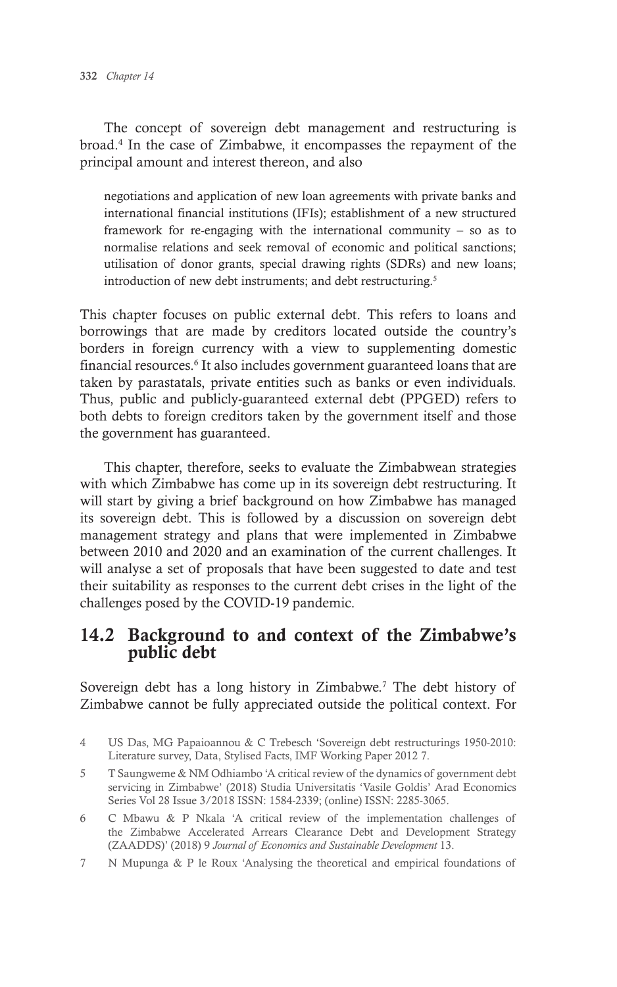The concept of sovereign debt management and restructuring is broad.4 In the case of Zimbabwe, it encompasses the repayment of the principal amount and interest thereon, and also

negotiations and application of new loan agreements with private banks and international financial institutions (IFIs); establishment of a new structured framework for re-engaging with the international community – so as to normalise relations and seek removal of economic and political sanctions; utilisation of donor grants, special drawing rights (SDRs) and new loans; introduction of new debt instruments; and debt restructuring.<sup>5</sup>

This chapter focuses on public external debt. This refers to loans and borrowings that are made by creditors located outside the country's borders in foreign currency with a view to supplementing domestic financial resources.<sup>6</sup> It also includes government guaranteed loans that are taken by parastatals, private entities such as banks or even individuals. Thus, public and publicly-guaranteed external debt (PPGED) refers to both debts to foreign creditors taken by the government itself and those the government has guaranteed.

This chapter, therefore, seeks to evaluate the Zimbabwean strategies with which Zimbabwe has come up in its sovereign debt restructuring. It will start by giving a brief background on how Zimbabwe has managed its sovereign debt. This is followed by a discussion on sovereign debt management strategy and plans that were implemented in Zimbabwe between 2010 and 2020 and an examination of the current challenges. It will analyse a set of proposals that have been suggested to date and test their suitability as responses to the current debt crises in the light of the challenges posed by the COVID-19 pandemic.

## 14.2 Background to and context of the Zimbabwe's public debt

Sovereign debt has a long history in Zimbabwe.<sup>7</sup> The debt history of Zimbabwe cannot be fully appreciated outside the political context. For

- 5 T Saungweme & NM Odhiambo 'A critical review of the dynamics of government debt servicing in Zimbabwe' (2018) Studia Universitatis 'Vasile Goldis' Arad Economics Series Vol 28 Issue 3/2018 ISSN: 1584-2339; (online) ISSN: 2285-3065.
- 6 C Mbawu & P Nkala 'A critical review of the implementation challenges of the Zimbabwe Accelerated Arrears Clearance Debt and Development Strategy (ZAADDS)' (2018) 9 *Journal of Economics and Sustainable Development* 13.
- 7 N Mupunga & P le Roux 'Analysing the theoretical and empirical foundations of

<sup>4</sup> US Das, MG Papaioannou & C Trebesch 'Sovereign debt restructurings 1950-2010: Literature survey, Data, Stylised Facts, IMF Working Paper 2012 7.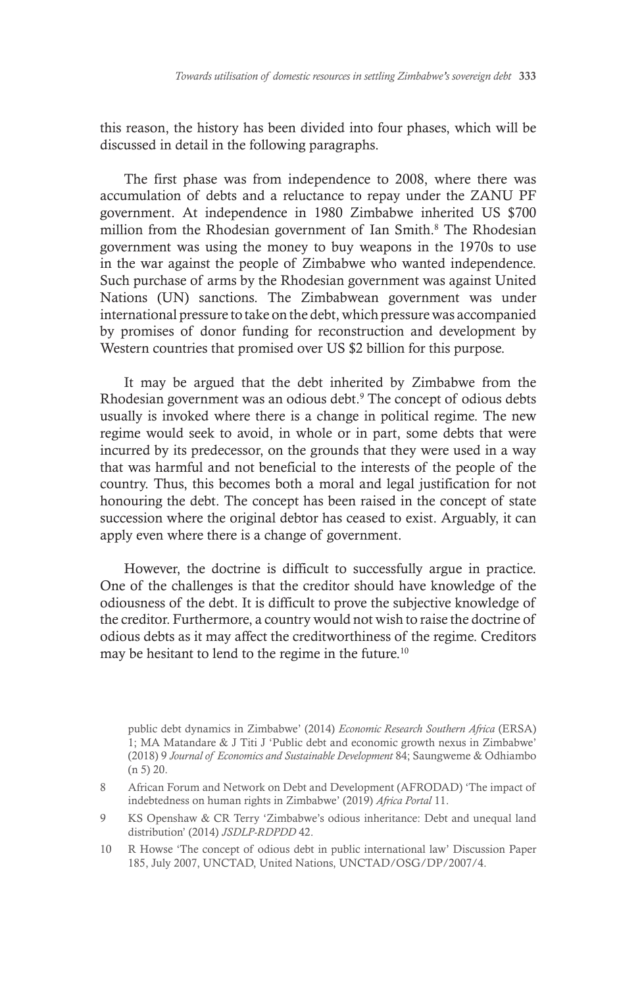this reason, the history has been divided into four phases, which will be discussed in detail in the following paragraphs.

The first phase was from independence to 2008, where there was accumulation of debts and a reluctance to repay under the ZANU PF government. At independence in 1980 Zimbabwe inherited US \$700 million from the Rhodesian government of Ian Smith.<sup>8</sup> The Rhodesian government was using the money to buy weapons in the 1970s to use in the war against the people of Zimbabwe who wanted independence. Such purchase of arms by the Rhodesian government was against United Nations (UN) sanctions. The Zimbabwean government was under international pressure to take on the debt, which pressure was accompanied by promises of donor funding for reconstruction and development by Western countries that promised over US \$2 billion for this purpose.

It may be argued that the debt inherited by Zimbabwe from the Rhodesian government was an odious debt.<sup>9</sup> The concept of odious debts usually is invoked where there is a change in political regime. The new regime would seek to avoid, in whole or in part, some debts that were incurred by its predecessor, on the grounds that they were used in a way that was harmful and not beneficial to the interests of the people of the country. Thus, this becomes both a moral and legal justification for not honouring the debt. The concept has been raised in the concept of state succession where the original debtor has ceased to exist. Arguably, it can apply even where there is a change of government.

However, the doctrine is difficult to successfully argue in practice. One of the challenges is that the creditor should have knowledge of the odiousness of the debt. It is difficult to prove the subjective knowledge of the creditor. Furthermore, a country would not wish to raise the doctrine of odious debts as it may affect the creditworthiness of the regime. Creditors may be hesitant to lend to the regime in the future.10

public debt dynamics in Zimbabwe' (2014) *Economic Research Southern Africa* (ERSA) 1; MA Matandare & J Titi J 'Public debt and economic growth nexus in Zimbabwe' (2018) 9 *Journal of Economics and Sustainable Development* 84; Saungweme & Odhiambo (n 5) 20.

8 African Forum and Network on Debt and Development (AFRODAD) 'The impact of indebtedness on human rights in Zimbabwe' (2019) *Africa Portal* 11.

9 KS Openshaw & CR Terry 'Zimbabwe's odious inheritance: Debt and unequal land distribution' (2014) *JSDLP-RDPDD* 42.

10 R Howse 'The concept of odious debt in public international law' Discussion Paper 185, July 2007, UNCTAD, United Nations, UNCTAD/OSG/DP/2007/4.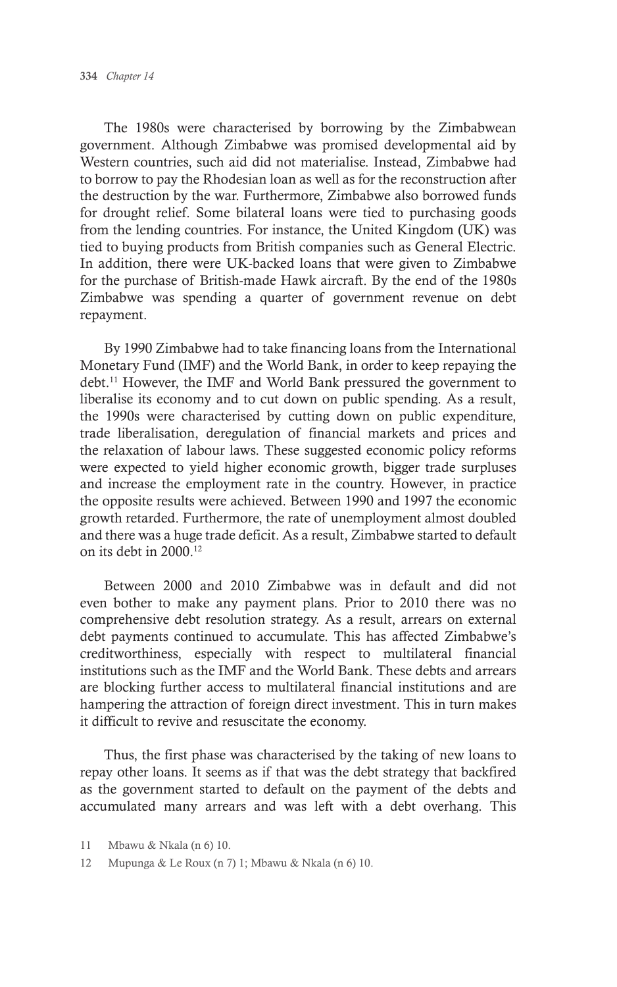The 1980s were characterised by borrowing by the Zimbabwean government. Although Zimbabwe was promised developmental aid by Western countries, such aid did not materialise. Instead, Zimbabwe had to borrow to pay the Rhodesian loan as well as for the reconstruction after the destruction by the war. Furthermore, Zimbabwe also borrowed funds for drought relief. Some bilateral loans were tied to purchasing goods from the lending countries. For instance, the United Kingdom (UK) was tied to buying products from British companies such as General Electric. In addition, there were UK-backed loans that were given to Zimbabwe for the purchase of British-made Hawk aircraft. By the end of the 1980s Zimbabwe was spending a quarter of government revenue on debt repayment.

By 1990 Zimbabwe had to take financing loans from the International Monetary Fund (IMF) and the World Bank, in order to keep repaying the debt.11 However, the IMF and World Bank pressured the government to liberalise its economy and to cut down on public spending. As a result, the 1990s were characterised by cutting down on public expenditure, trade liberalisation, deregulation of financial markets and prices and the relaxation of labour laws. These suggested economic policy reforms were expected to yield higher economic growth, bigger trade surpluses and increase the employment rate in the country. However, in practice the opposite results were achieved. Between 1990 and 1997 the economic growth retarded. Furthermore, the rate of unemployment almost doubled and there was a huge trade deficit. As a result, Zimbabwe started to default on its debt in 2000.12

Between 2000 and 2010 Zimbabwe was in default and did not even bother to make any payment plans. Prior to 2010 there was no comprehensive debt resolution strategy. As a result, arrears on external debt payments continued to accumulate. This has affected Zimbabwe's creditworthiness, especially with respect to multilateral financial institutions such as the IMF and the World Bank. These debts and arrears are blocking further access to multilateral financial institutions and are hampering the attraction of foreign direct investment. This in turn makes it difficult to revive and resuscitate the economy.

Thus, the first phase was characterised by the taking of new loans to repay other loans. It seems as if that was the debt strategy that backfired as the government started to default on the payment of the debts and accumulated many arrears and was left with a debt overhang. This

<sup>11</sup> Mbawu & Nkala (n 6) 10.

<sup>12</sup> Mupunga & Le Roux (n 7) 1; Mbawu & Nkala (n 6) 10.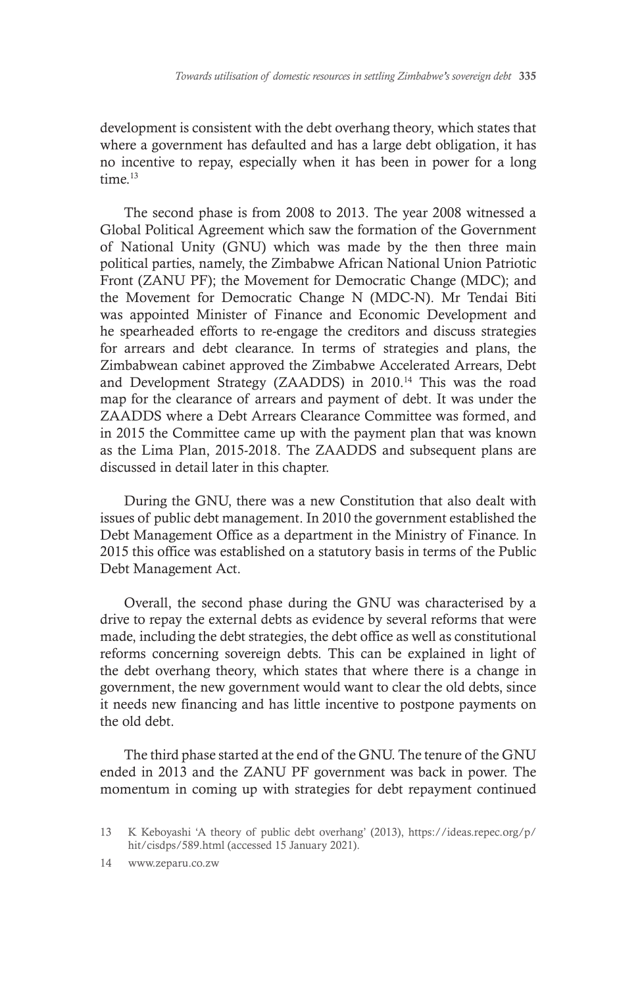development is consistent with the debt overhang theory, which states that where a government has defaulted and has a large debt obligation, it has no incentive to repay, especially when it has been in power for a long time<sup>13</sup>

The second phase is from 2008 to 2013. The year 2008 witnessed a Global Political Agreement which saw the formation of the Government of National Unity (GNU) which was made by the then three main political parties, namely, the Zimbabwe African National Union Patriotic Front (ZANU PF); the Movement for Democratic Change (MDC); and the Movement for Democratic Change N (MDC-N). Mr Tendai Biti was appointed Minister of Finance and Economic Development and he spearheaded efforts to re-engage the creditors and discuss strategies for arrears and debt clearance. In terms of strategies and plans, the Zimbabwean cabinet approved the Zimbabwe Accelerated Arrears, Debt and Development Strategy (ZAADDS) in 2010.<sup>14</sup> This was the road map for the clearance of arrears and payment of debt. It was under the ZAADDS where a Debt Arrears Clearance Committee was formed, and in 2015 the Committee came up with the payment plan that was known as the Lima Plan, 2015-2018. The ZAADDS and subsequent plans are discussed in detail later in this chapter.

During the GNU, there was a new Constitution that also dealt with issues of public debt management. In 2010 the government established the Debt Management Office as a department in the Ministry of Finance. In 2015 this office was established on a statutory basis in terms of the Public Debt Management Act.

Overall, the second phase during the GNU was characterised by a drive to repay the external debts as evidence by several reforms that were made, including the debt strategies, the debt office as well as constitutional reforms concerning sovereign debts. This can be explained in light of the debt overhang theory, which states that where there is a change in government, the new government would want to clear the old debts, since it needs new financing and has little incentive to postpone payments on the old debt.

The third phase started at the end of the GNU. The tenure of the GNU ended in 2013 and the ZANU PF government was back in power. The momentum in coming up with strategies for debt repayment continued

14 www.zeparu.co.zw

<sup>13</sup> K Keboyashi 'A theory of public debt overhang' (2013), https://ideas.repec.org/p/ hit/cisdps/589.html (accessed 15 January 2021).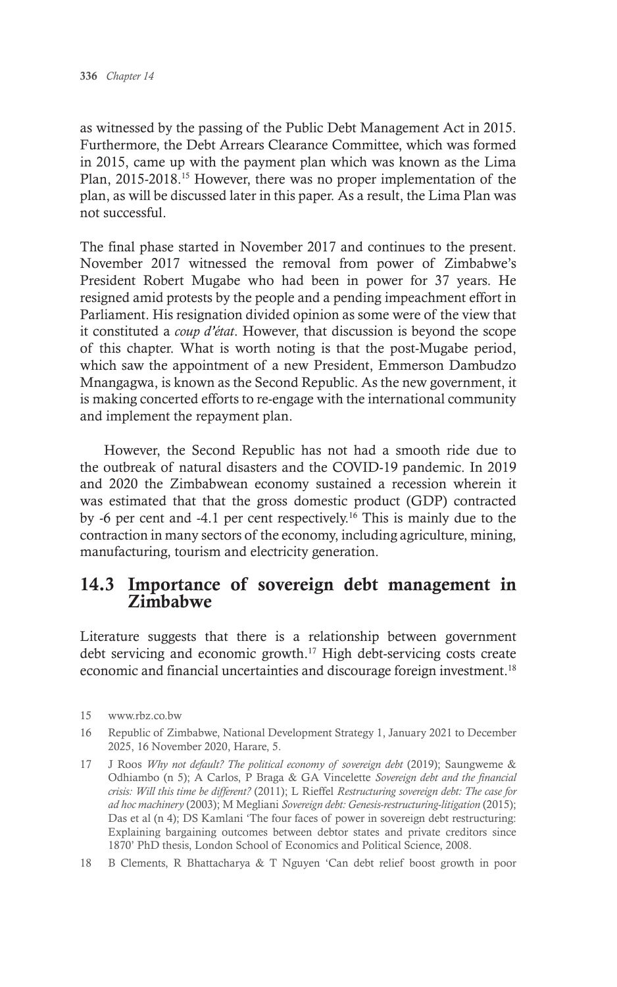as witnessed by the passing of the Public Debt Management Act in 2015. Furthermore, the Debt Arrears Clearance Committee, which was formed in 2015, came up with the payment plan which was known as the Lima Plan, 2015-2018.15 However, there was no proper implementation of the plan, as will be discussed later in this paper. As a result, the Lima Plan was not successful.

The final phase started in November 2017 and continues to the present. November 2017 witnessed the removal from power of Zimbabwe's President Robert Mugabe who had been in power for 37 years. He resigned amid protests by the people and a pending impeachment effort in Parliament. His resignation divided opinion as some were of the view that it constituted a *coup d'état*. However, that discussion is beyond the scope of this chapter. What is worth noting is that the post-Mugabe period, which saw the appointment of a new President, Emmerson Dambudzo Mnangagwa, is known as the Second Republic. As the new government, it is making concerted efforts to re-engage with the international community and implement the repayment plan.

However, the Second Republic has not had a smooth ride due to the outbreak of natural disasters and the COVID-19 pandemic. In 2019 and 2020 the Zimbabwean economy sustained a recession wherein it was estimated that that the gross domestic product (GDP) contracted by -6 per cent and -4.1 per cent respectively.16 This is mainly due to the contraction in many sectors of the economy, including agriculture, mining, manufacturing, tourism and electricity generation.

## 14.3 Importance of sovereign debt management in Zimbabwe

Literature suggests that there is a relationship between government debt servicing and economic growth.<sup>17</sup> High debt-servicing costs create economic and financial uncertainties and discourage foreign investment.<sup>18</sup>

- 16 Republic of Zimbabwe, National Development Strategy 1, January 2021 to December 2025, 16 November 2020, Harare, 5.
- 17 J Roos *Why not default? The political economy of sovereign debt* (2019); Saungweme & Odhiambo (n 5); A Carlos, P Braga & GA Vincelette *Sovereign debt and the financial crisis: Will this time be different?* (2011); L Rieffel *Restructuring sovereign debt: The case for ad hoc machinery* (2003); M Megliani *Sovereign debt: Genesis-restructuring-litigation* (2015); Das et al (n 4); DS Kamlani 'The four faces of power in sovereign debt restructuring: Explaining bargaining outcomes between debtor states and private creditors since 1870' PhD thesis, London School of Economics and Political Science, 2008.
- 18 B Clements, R Bhattacharya & T Nguyen 'Can debt relief boost growth in poor

<sup>15</sup> www.rbz.co.bw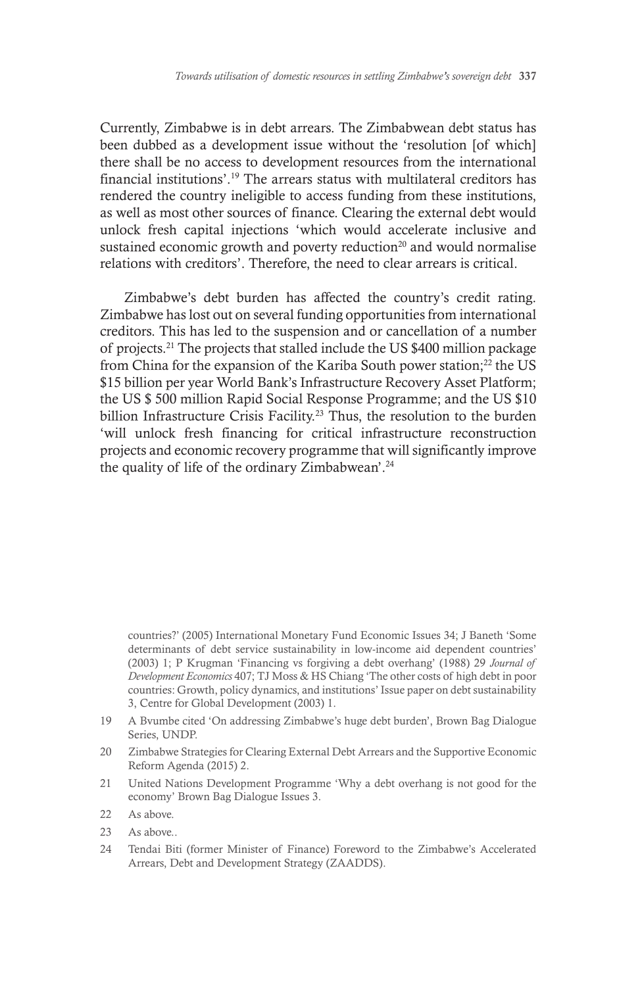Currently, Zimbabwe is in debt arrears. The Zimbabwean debt status has been dubbed as a development issue without the 'resolution [of which] there shall be no access to development resources from the international financial institutions'.19 The arrears status with multilateral creditors has rendered the country ineligible to access funding from these institutions, as well as most other sources of finance. Clearing the external debt would unlock fresh capital injections 'which would accelerate inclusive and sustained economic growth and poverty reduction $2<sup>0</sup>$  and would normalise relations with creditors'. Therefore, the need to clear arrears is critical.

Zimbabwe's debt burden has affected the country's credit rating. Zimbabwe has lost out on several funding opportunities from international creditors. This has led to the suspension and or cancellation of a number of projects.21 The projects that stalled include the US \$400 million package from China for the expansion of the Kariba South power station;<sup>22</sup> the US \$15 billion per year World Bank's Infrastructure Recovery Asset Platform; the US \$ 500 million Rapid Social Response Programme; and the US \$10 billion Infrastructure Crisis Facility.<sup>23</sup> Thus, the resolution to the burden 'will unlock fresh financing for critical infrastructure reconstruction projects and economic recovery programme that will significantly improve the quality of life of the ordinary Zimbabwean'.<sup>24</sup>

countries?' (2005) International Monetary Fund Economic Issues 34; J Baneth 'Some determinants of debt service sustainability in low-income aid dependent countries' (2003) 1; P Krugman 'Financing vs forgiving a debt overhang' (1988) 29 *Journal of Development Economics* 407; TJ Moss & HS Chiang 'The other costs of high debt in poor countries: Growth, policy dynamics, and institutions' Issue paper on debt sustainability 3, Centre for Global Development (2003) 1.

- 19 A Bvumbe cited 'On addressing Zimbabwe's huge debt burden', Brown Bag Dialogue Series, UNDP.
- 20 Zimbabwe Strategies for Clearing External Debt Arrears and the Supportive Economic Reform Agenda (2015) 2.
- 21 United Nations Development Programme 'Why a debt overhang is not good for the economy' Brown Bag Dialogue Issues 3.
- 22 As above.
- 23 As above..
- 24 Tendai Biti (former Minister of Finance) Foreword to the Zimbabwe's Accelerated Arrears, Debt and Development Strategy (ZAADDS).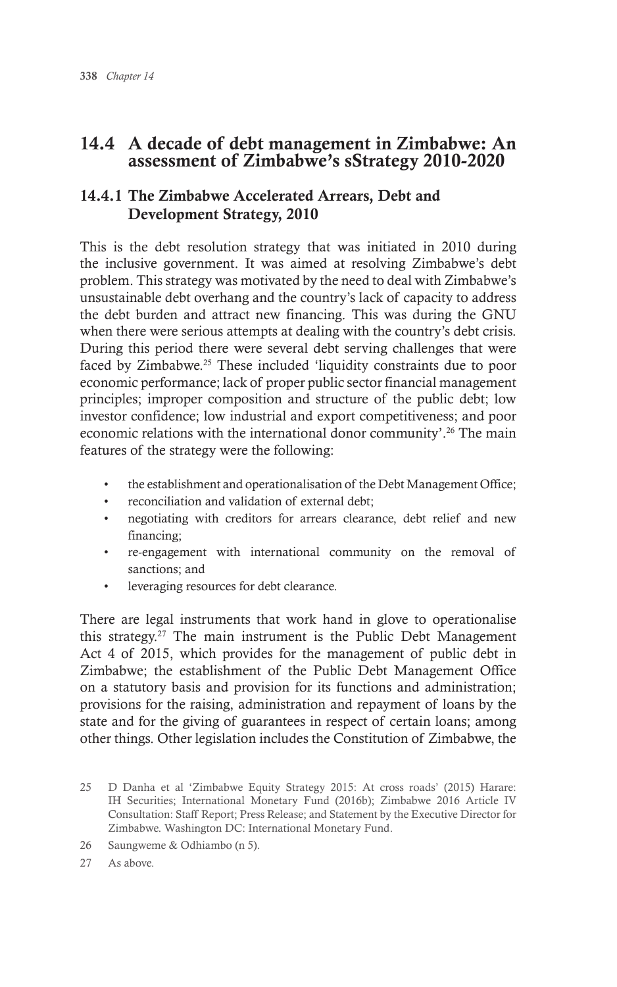# 14.4 A decade of debt management in Zimbabwe: An assessment of Zimbabwe's sStrategy 2010-2020

## 14.4.1 The Zimbabwe Accelerated Arrears, Debt and Development Strategy, 2010

This is the debt resolution strategy that was initiated in 2010 during the inclusive government. It was aimed at resolving Zimbabwe's debt problem. This strategy was motivated by the need to deal with Zimbabwe's unsustainable debt overhang and the country's lack of capacity to address the debt burden and attract new financing. This was during the GNU when there were serious attempts at dealing with the country's debt crisis. During this period there were several debt serving challenges that were faced by Zimbabwe.<sup>25</sup> These included 'liquidity constraints due to poor economic performance; lack of proper public sector financial management principles; improper composition and structure of the public debt; low investor confidence; low industrial and export competitiveness; and poor economic relations with the international donor community'.<sup>26</sup> The main features of the strategy were the following:

- the establishment and operationalisation of the Debt Management Office;
- reconciliation and validation of external debt;
- negotiating with creditors for arrears clearance, debt relief and new financing;
- re-engagement with international community on the removal of sanctions; and
- leveraging resources for debt clearance.

There are legal instruments that work hand in glove to operationalise this strategy.27 The main instrument is the Public Debt Management Act 4 of 2015, which provides for the management of public debt in Zimbabwe; the establishment of the Public Debt Management Office on a statutory basis and provision for its functions and administration; provisions for the raising, administration and repayment of loans by the state and for the giving of guarantees in respect of certain loans; among other things. Other legislation includes the Constitution of Zimbabwe, the

26 Saungweme & Odhiambo (n 5).

27 As above.

<sup>25</sup> D Danha et al 'Zimbabwe Equity Strategy 2015: At cross roads' (2015) Harare: IH Securities; International Monetary Fund (2016b); Zimbabwe 2016 Article IV Consultation: Staff Report; Press Release; and Statement by the Executive Director for Zimbabwe. Washington DC: International Monetary Fund.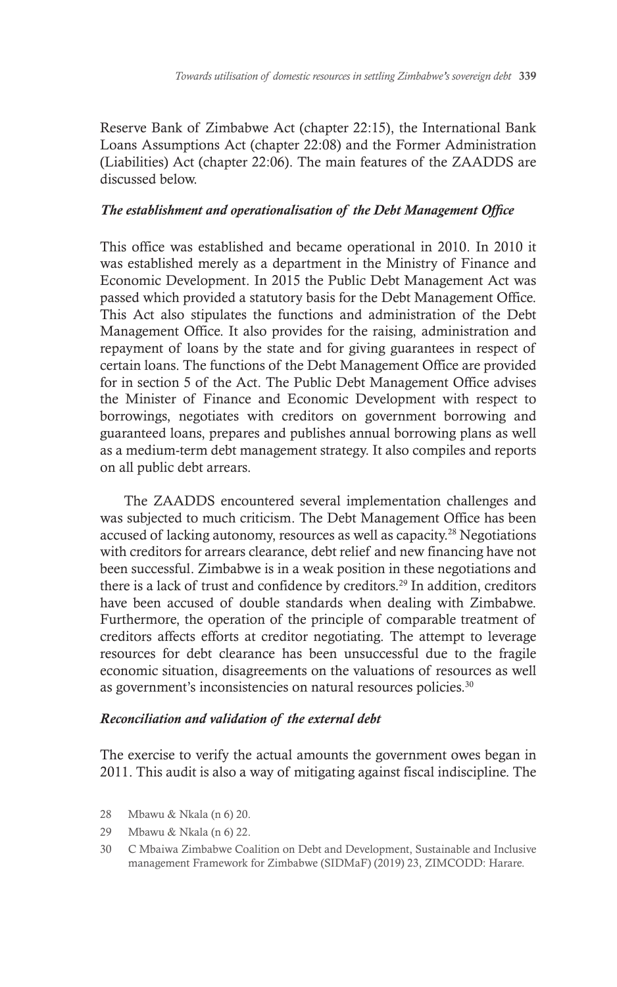Reserve Bank of Zimbabwe Act (chapter 22:15), the International Bank Loans Assumptions Act (chapter 22:08) and the Former Administration (Liabilities) Act (chapter 22:06). The main features of the ZAADDS are discussed below.

#### *The establishment and operationalisation of the Debt Management Office*

This office was established and became operational in 2010. In 2010 it was established merely as a department in the Ministry of Finance and Economic Development. In 2015 the Public Debt Management Act was passed which provided a statutory basis for the Debt Management Office. This Act also stipulates the functions and administration of the Debt Management Office. It also provides for the raising, administration and repayment of loans by the state and for giving guarantees in respect of certain loans. The functions of the Debt Management Office are provided for in section 5 of the Act. The Public Debt Management Office advises the Minister of Finance and Economic Development with respect to borrowings, negotiates with creditors on government borrowing and guaranteed loans, prepares and publishes annual borrowing plans as well as a medium-term debt management strategy. It also compiles and reports on all public debt arrears.

The ZAADDS encountered several implementation challenges and was subjected to much criticism. The Debt Management Office has been accused of lacking autonomy, resources as well as capacity.28 Negotiations with creditors for arrears clearance, debt relief and new financing have not been successful. Zimbabwe is in a weak position in these negotiations and there is a lack of trust and confidence by creditors.<sup>29</sup> In addition, creditors have been accused of double standards when dealing with Zimbabwe. Furthermore, the operation of the principle of comparable treatment of creditors affects efforts at creditor negotiating. The attempt to leverage resources for debt clearance has been unsuccessful due to the fragile economic situation, disagreements on the valuations of resources as well as government's inconsistencies on natural resources policies.<sup>30</sup>

#### *Reconciliation and validation of the external debt*

The exercise to verify the actual amounts the government owes began in 2011. This audit is also a way of mitigating against fiscal indiscipline. The

- 28 Mbawu & Nkala (n 6) 20.
- 29 Mbawu & Nkala (n 6) 22.
- 30 C Mbaiwa Zimbabwe Coalition on Debt and Development, Sustainable and Inclusive management Framework for Zimbabwe (SIDMaF) (2019) 23, ZIMCODD: Harare.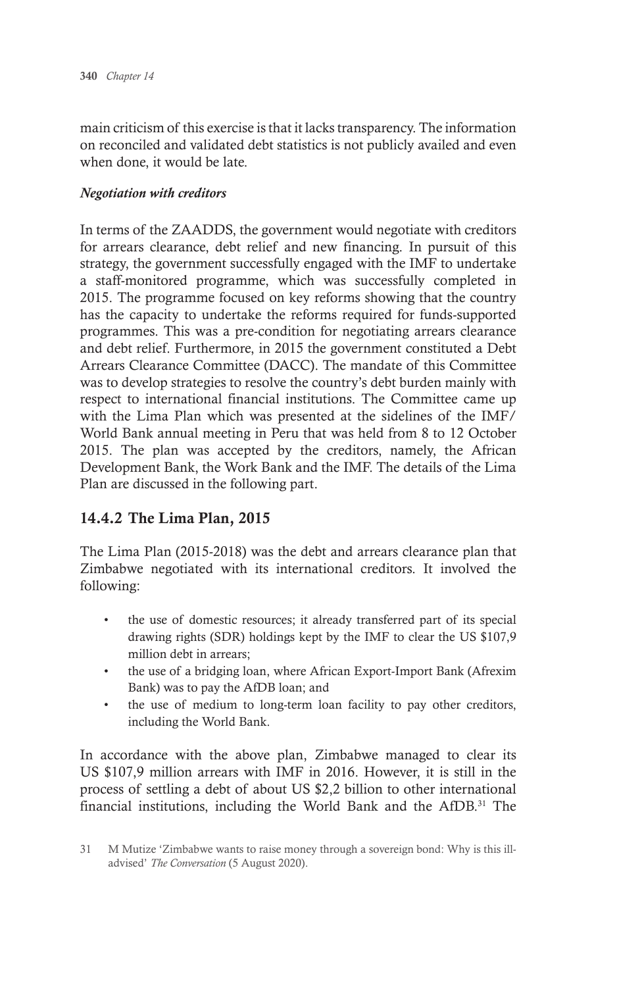main criticism of this exercise is that it lacks transparency. The information on reconciled and validated debt statistics is not publicly availed and even when done, it would be late.

#### *Negotiation with creditors*

In terms of the ZAADDS, the government would negotiate with creditors for arrears clearance, debt relief and new financing. In pursuit of this strategy, the government successfully engaged with the IMF to undertake a staff-monitored programme, which was successfully completed in 2015. The programme focused on key reforms showing that the country has the capacity to undertake the reforms required for funds-supported programmes. This was a pre-condition for negotiating arrears clearance and debt relief. Furthermore, in 2015 the government constituted a Debt Arrears Clearance Committee (DACC). The mandate of this Committee was to develop strategies to resolve the country's debt burden mainly with respect to international financial institutions. The Committee came up with the Lima Plan which was presented at the sidelines of the IMF/ World Bank annual meeting in Peru that was held from 8 to 12 October 2015. The plan was accepted by the creditors, namely, the African Development Bank, the Work Bank and the IMF. The details of the Lima Plan are discussed in the following part.

## 14.4.2 The Lima Plan, 2015

The Lima Plan (2015-2018) was the debt and arrears clearance plan that Zimbabwe negotiated with its international creditors. It involved the following:

- the use of domestic resources; it already transferred part of its special drawing rights (SDR) holdings kept by the IMF to clear the US \$107,9 million debt in arrears;
- the use of a bridging loan, where African Export-Import Bank (Afrexim Bank) was to pay the AfDB loan; and
- the use of medium to long-term loan facility to pay other creditors, including the World Bank.

In accordance with the above plan, Zimbabwe managed to clear its US \$107,9 million arrears with IMF in 2016. However, it is still in the process of settling a debt of about US \$2,2 billion to other international financial institutions, including the World Bank and the AfDB.<sup>31</sup> The

<sup>31</sup> M Mutize 'Zimbabwe wants to raise money through a sovereign bond: Why is this illadvised' *The Conversation* (5 August 2020).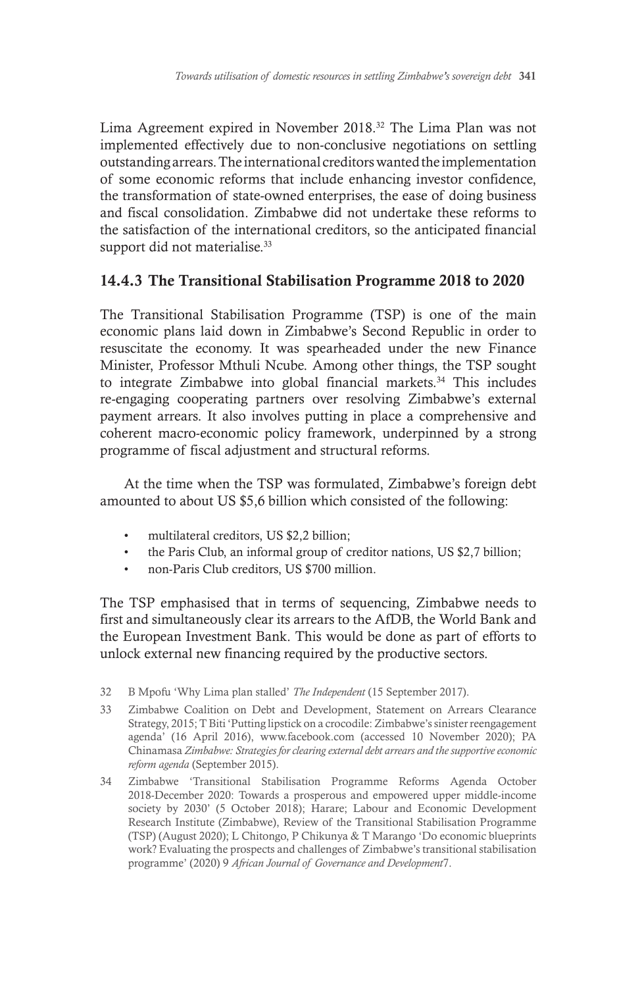Lima Agreement expired in November 2018.32 The Lima Plan was not implemented effectively due to non-conclusive negotiations on settling outstanding arrears. The international creditors wanted the implementation of some economic reforms that include enhancing investor confidence, the transformation of state-owned enterprises, the ease of doing business and fiscal consolidation. Zimbabwe did not undertake these reforms to the satisfaction of the international creditors, so the anticipated financial support did not materialise.<sup>33</sup>

## 14.4.3 The Transitional Stabilisation Programme 2018 to 2020

The Transitional Stabilisation Programme (TSP) is one of the main economic plans laid down in Zimbabwe's Second Republic in order to resuscitate the economy. It was spearheaded under the new Finance Minister, Professor Mthuli Ncube. Among other things, the TSP sought to integrate Zimbabwe into global financial markets.<sup>34</sup> This includes re-engaging cooperating partners over resolving Zimbabwe's external payment arrears. It also involves putting in place a comprehensive and coherent macro-economic policy framework, underpinned by a strong programme of fiscal adjustment and structural reforms.

At the time when the TSP was formulated, Zimbabwe's foreign debt amounted to about US \$5,6 billion which consisted of the following:

- multilateral creditors, US \$2,2 billion;
- the Paris Club, an informal group of creditor nations, US \$2,7 billion;
- non-Paris Club creditors, US \$700 million.

The TSP emphasised that in terms of sequencing, Zimbabwe needs to first and simultaneously clear its arrears to the AfDB, the World Bank and the European Investment Bank. This would be done as part of efforts to unlock external new financing required by the productive sectors.

- 33 Zimbabwe Coalition on Debt and Development, Statement on Arrears Clearance Strategy, 2015; T Biti 'Putting lipstick on a crocodile: Zimbabwe's sinister reengagement agenda' (16 April 2016), www.facebook.com (accessed 10 November 2020); PA Chinamasa *Zimbabwe: Strategies for clearing external debt arrears and the supportive economic reform agenda* (September 2015).
- 34 Zimbabwe 'Transitional Stabilisation Programme Reforms Agenda October 2018-December 2020: Towards a prosperous and empowered upper middle-income society by 2030' (5 October 2018); Harare; Labour and Economic Development Research Institute (Zimbabwe), Review of the Transitional Stabilisation Programme (TSP) (August 2020); L Chitongo, P Chikunya & T Marango 'Do economic blueprints work? Evaluating the prospects and challenges of Zimbabwe's transitional stabilisation programme' (2020) 9 *African Journal of Governance and Development*7.

<sup>32</sup> B Mpofu 'Why Lima plan stalled' *The Independent* (15 September 2017).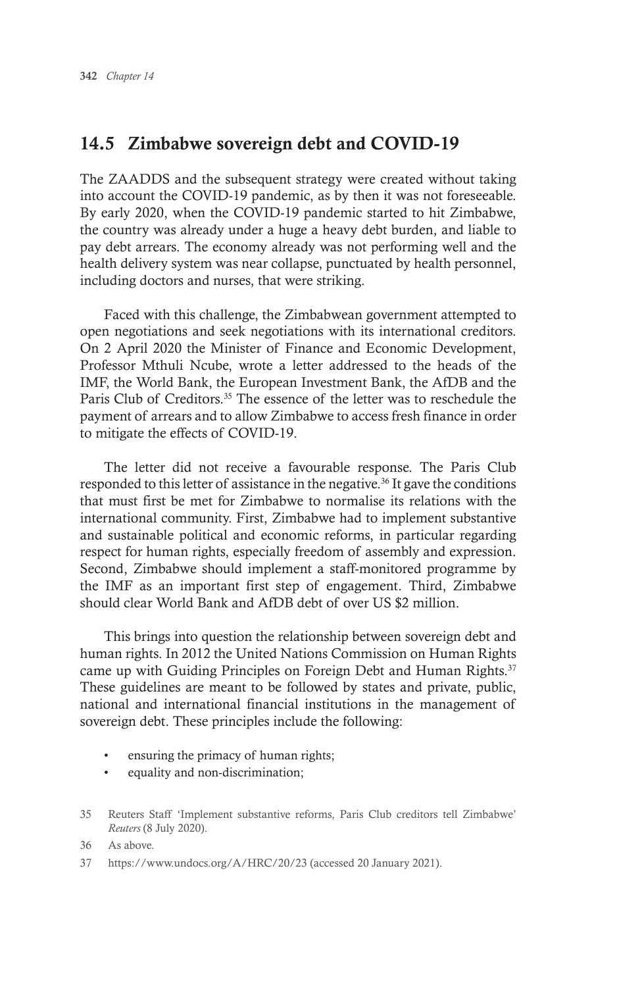# 14.5 Zimbabwe sovereign debt and COVID-19

The ZAADDS and the subsequent strategy were created without taking into account the COVID-19 pandemic, as by then it was not foreseeable. By early 2020, when the COVID-19 pandemic started to hit Zimbabwe, the country was already under a huge a heavy debt burden, and liable to pay debt arrears. The economy already was not performing well and the health delivery system was near collapse, punctuated by health personnel, including doctors and nurses, that were striking.

Faced with this challenge, the Zimbabwean government attempted to open negotiations and seek negotiations with its international creditors. On 2 April 2020 the Minister of Finance and Economic Development, Professor Mthuli Ncube, wrote a letter addressed to the heads of the IMF, the World Bank, the European Investment Bank, the AfDB and the Paris Club of Creditors.<sup>35</sup> The essence of the letter was to reschedule the payment of arrears and to allow Zimbabwe to access fresh finance in order to mitigate the effects of COVID-19.

The letter did not receive a favourable response. The Paris Club responded to this letter of assistance in the negative.<sup>36</sup> It gave the conditions that must first be met for Zimbabwe to normalise its relations with the international community. First, Zimbabwe had to implement substantive and sustainable political and economic reforms, in particular regarding respect for human rights, especially freedom of assembly and expression. Second, Zimbabwe should implement a staff-monitored programme by the IMF as an important first step of engagement. Third, Zimbabwe should clear World Bank and AfDB debt of over US \$2 million.

This brings into question the relationship between sovereign debt and human rights. In 2012 the United Nations Commission on Human Rights came up with Guiding Principles on Foreign Debt and Human Rights.<sup>37</sup> These guidelines are meant to be followed by states and private, public, national and international financial institutions in the management of sovereign debt. These principles include the following:

- ensuring the primacy of human rights;
- equality and non-discrimination;
- 35 Reuters Staff 'Implement substantive reforms, Paris Club creditors tell Zimbabwe' *Reuters* (8 July 2020).

36 As above.

37 https://www.undocs.org/A/HRC/20/23 (accessed 20 January 2021).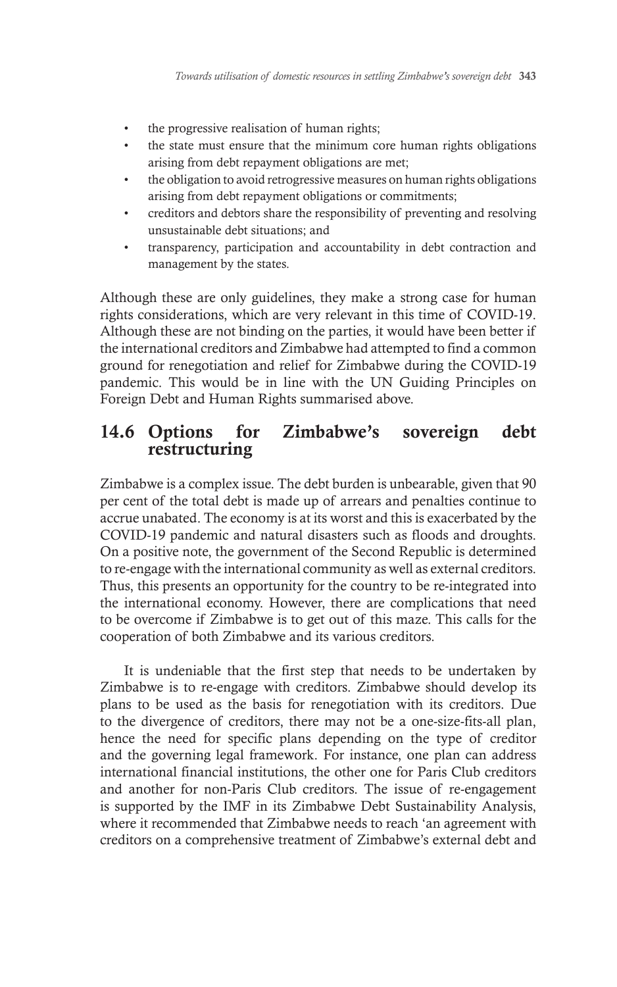- the progressive realisation of human rights;
- the state must ensure that the minimum core human rights obligations arising from debt repayment obligations are met;
- the obligation to avoid retrogressive measures on human rights obligations arising from debt repayment obligations or commitments;
- creditors and debtors share the responsibility of preventing and resolving unsustainable debt situations; and
- transparency, participation and accountability in debt contraction and management by the states.

Although these are only guidelines, they make a strong case for human rights considerations, which are very relevant in this time of COVID-19. Although these are not binding on the parties, it would have been better if the international creditors and Zimbabwe had attempted to find a common ground for renegotiation and relief for Zimbabwe during the COVID-19 pandemic. This would be in line with the UN Guiding Principles on Foreign Debt and Human Rights summarised above.

# 14.6 Options for Zimbabwe's sovereign debt restructuring

Zimbabwe is a complex issue. The debt burden is unbearable, given that 90 per cent of the total debt is made up of arrears and penalties continue to accrue unabated. The economy is at its worst and this is exacerbated by the COVID-19 pandemic and natural disasters such as floods and droughts. On a positive note, the government of the Second Republic is determined to re-engage with the international community as well as external creditors. Thus, this presents an opportunity for the country to be re-integrated into the international economy. However, there are complications that need to be overcome if Zimbabwe is to get out of this maze. This calls for the cooperation of both Zimbabwe and its various creditors.

It is undeniable that the first step that needs to be undertaken by Zimbabwe is to re-engage with creditors. Zimbabwe should develop its plans to be used as the basis for renegotiation with its creditors. Due to the divergence of creditors, there may not be a one-size-fits-all plan, hence the need for specific plans depending on the type of creditor and the governing legal framework. For instance, one plan can address international financial institutions, the other one for Paris Club creditors and another for non-Paris Club creditors. The issue of re-engagement is supported by the IMF in its Zimbabwe Debt Sustainability Analysis, where it recommended that Zimbabwe needs to reach 'an agreement with creditors on a comprehensive treatment of Zimbabwe's external debt and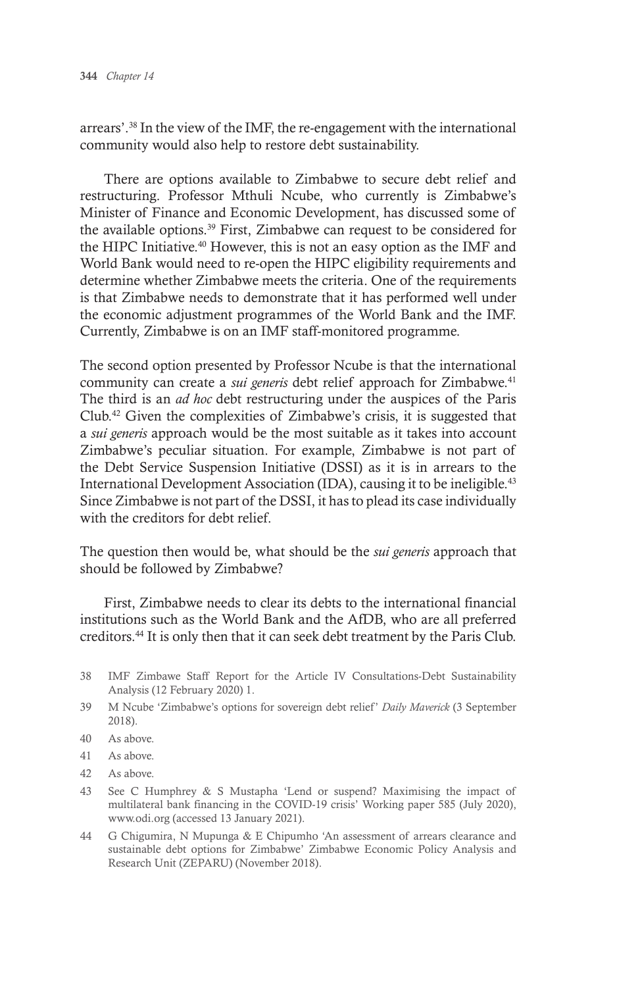arrears'.38 In the view of the IMF, the re-engagement with the international community would also help to restore debt sustainability.

There are options available to Zimbabwe to secure debt relief and restructuring. Professor Mthuli Ncube, who currently is Zimbabwe's Minister of Finance and Economic Development, has discussed some of the available options.<sup>39</sup> First, Zimbabwe can request to be considered for the HIPC Initiative.40 However, this is not an easy option as the IMF and World Bank would need to re-open the HIPC eligibility requirements and determine whether Zimbabwe meets the criteria. One of the requirements is that Zimbabwe needs to demonstrate that it has performed well under the economic adjustment programmes of the World Bank and the IMF. Currently, Zimbabwe is on an IMF staff-monitored programme.

The second option presented by Professor Ncube is that the international community can create a *sui generis* debt relief approach for Zimbabwe.<sup>41</sup> The third is an *ad hoc* debt restructuring under the auspices of the Paris Club.42 Given the complexities of Zimbabwe's crisis, it is suggested that a *sui generis* approach would be the most suitable as it takes into account Zimbabwe's peculiar situation. For example, Zimbabwe is not part of the Debt Service Suspension Initiative (DSSI) as it is in arrears to the International Development Association (IDA), causing it to be ineligible.<sup>43</sup> Since Zimbabwe is not part of the DSSI, it has to plead its case individually with the creditors for debt relief.

The question then would be, what should be the *sui generis* approach that should be followed by Zimbabwe?

First, Zimbabwe needs to clear its debts to the international financial institutions such as the World Bank and the AfDB, who are all preferred creditors.44 It is only then that it can seek debt treatment by the Paris Club.

- 38 IMF Zimbawe Staff Report for the Article IV Consultations-Debt Sustainability Analysis (12 February 2020) 1.
- 39 M Ncube 'Zimbabwe's options for sovereign debt relief' *Daily Maverick* (3 September 2018).
- 40 As above.
- 41 As above.
- 42 As above.
- 43 See C Humphrey & S Mustapha 'Lend or suspend? Maximising the impact of multilateral bank financing in the COVID-19 crisis' Working paper 585 (July 2020), www.odi.org (accessed 13 January 2021).
- 44 G Chigumira, N Mupunga & E Chipumho 'An assessment of arrears clearance and sustainable debt options for Zimbabwe' Zimbabwe Economic Policy Analysis and Research Unit (ZEPARU) (November 2018).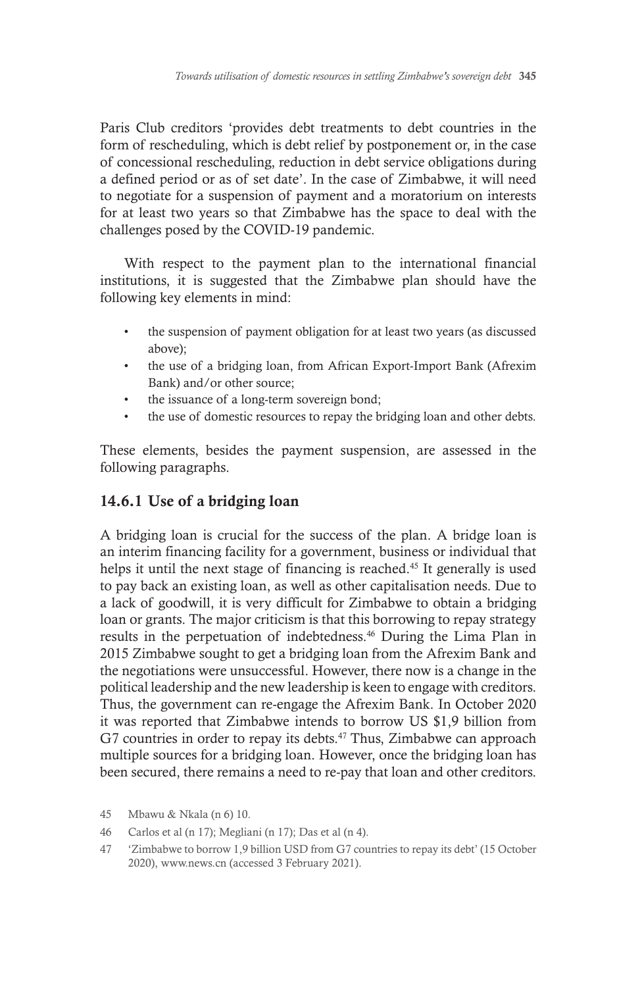Paris Club creditors 'provides debt treatments to debt countries in the form of rescheduling, which is debt relief by postponement or, in the case of concessional rescheduling, reduction in debt service obligations during a defined period or as of set date'. In the case of Zimbabwe, it will need to negotiate for a suspension of payment and a moratorium on interests for at least two years so that Zimbabwe has the space to deal with the challenges posed by the COVID-19 pandemic.

With respect to the payment plan to the international financial institutions, it is suggested that the Zimbabwe plan should have the following key elements in mind:

- the suspension of payment obligation for at least two years (as discussed above);
- the use of a bridging loan, from African Export-Import Bank (Afrexim Bank) and/or other source;
- the issuance of a long-term sovereign bond;
- the use of domestic resources to repay the bridging loan and other debts.

These elements, besides the payment suspension, are assessed in the following paragraphs.

## 14.6.1 Use of a bridging loan

A bridging loan is crucial for the success of the plan. A bridge loan is an interim financing facility for a government, business or individual that helps it until the next stage of financing is reached.45 It generally is used to pay back an existing loan, as well as other capitalisation needs. Due to a lack of goodwill, it is very difficult for Zimbabwe to obtain a bridging loan or grants. The major criticism is that this borrowing to repay strategy results in the perpetuation of indebtedness.46 During the Lima Plan in 2015 Zimbabwe sought to get a bridging loan from the Afrexim Bank and the negotiations were unsuccessful. However, there now is a change in the political leadership and the new leadership is keen to engage with creditors. Thus, the government can re-engage the Afrexim Bank. In October 2020 it was reported that Zimbabwe intends to borrow US \$1,9 billion from G7 countries in order to repay its debts.<sup>47</sup> Thus, Zimbabwe can approach multiple sources for a bridging loan. However, once the bridging loan has been secured, there remains a need to re-pay that loan and other creditors.

<sup>45</sup> Mbawu & Nkala (n 6) 10.

<sup>46</sup> Carlos et al (n 17); Megliani (n 17); Das et al (n 4).

<sup>47</sup> 'Zimbabwe to borrow 1,9 billion USD from G7 countries to repay its debt' (15 October 2020), www.news.cn (accessed 3 February 2021).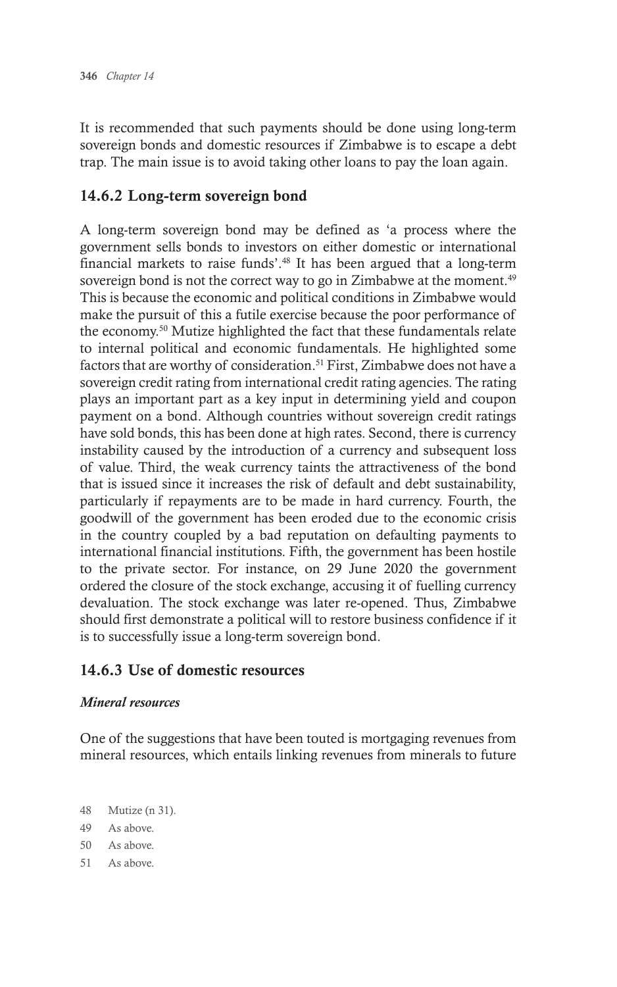It is recommended that such payments should be done using long-term sovereign bonds and domestic resources if Zimbabwe is to escape a debt trap. The main issue is to avoid taking other loans to pay the loan again.

## 14.6.2 Long-term sovereign bond

A long-term sovereign bond may be defined as 'a process where the government sells bonds to investors on either domestic or international financial markets to raise funds'.48 It has been argued that a long-term sovereign bond is not the correct way to go in Zimbabwe at the moment.<sup>49</sup> This is because the economic and political conditions in Zimbabwe would make the pursuit of this a futile exercise because the poor performance of the economy.50 Mutize highlighted the fact that these fundamentals relate to internal political and economic fundamentals. He highlighted some factors that are worthy of consideration.<sup>51</sup> First, Zimbabwe does not have a sovereign credit rating from international credit rating agencies. The rating plays an important part as a key input in determining yield and coupon payment on a bond. Although countries without sovereign credit ratings have sold bonds, this has been done at high rates. Second, there is currency instability caused by the introduction of a currency and subsequent loss of value. Third, the weak currency taints the attractiveness of the bond that is issued since it increases the risk of default and debt sustainability, particularly if repayments are to be made in hard currency. Fourth, the goodwill of the government has been eroded due to the economic crisis in the country coupled by a bad reputation on defaulting payments to international financial institutions. Fifth, the government has been hostile to the private sector. For instance, on 29 June 2020 the government ordered the closure of the stock exchange, accusing it of fuelling currency devaluation. The stock exchange was later re-opened. Thus, Zimbabwe should first demonstrate a political will to restore business confidence if it is to successfully issue a long-term sovereign bond.

## 14.6.3 Use of domestic resources

#### *Mineral resources*

One of the suggestions that have been touted is mortgaging revenues from mineral resources, which entails linking revenues from minerals to future

- 48 Mutize (n 31).
- 49 As above.
- 50 As above.
- 51 As above.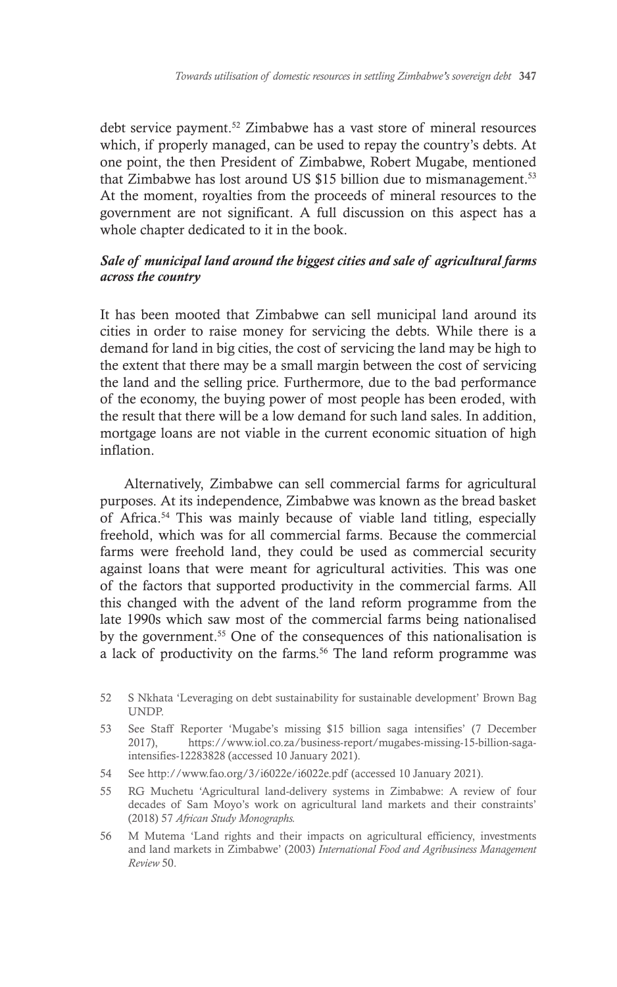debt service payment.52 Zimbabwe has a vast store of mineral resources which, if properly managed, can be used to repay the country's debts. At one point, the then President of Zimbabwe, Robert Mugabe, mentioned that Zimbabwe has lost around US \$15 billion due to mismanagement.<sup>53</sup> At the moment, royalties from the proceeds of mineral resources to the government are not significant. A full discussion on this aspect has a whole chapter dedicated to it in the book.

#### *Sale of municipal land around the biggest cities and sale of agricultural farms across the country*

It has been mooted that Zimbabwe can sell municipal land around its cities in order to raise money for servicing the debts. While there is a demand for land in big cities, the cost of servicing the land may be high to the extent that there may be a small margin between the cost of servicing the land and the selling price. Furthermore, due to the bad performance of the economy, the buying power of most people has been eroded, with the result that there will be a low demand for such land sales. In addition, mortgage loans are not viable in the current economic situation of high inflation.

Alternatively, Zimbabwe can sell commercial farms for agricultural purposes. At its independence, Zimbabwe was known as the bread basket of Africa.54 This was mainly because of viable land titling, especially freehold, which was for all commercial farms. Because the commercial farms were freehold land, they could be used as commercial security against loans that were meant for agricultural activities. This was one of the factors that supported productivity in the commercial farms. All this changed with the advent of the land reform programme from the late 1990s which saw most of the commercial farms being nationalised by the government.<sup>55</sup> One of the consequences of this nationalisation is a lack of productivity on the farms.56 The land reform programme was

- 54 See http://www.fao.org/3/i6022e/i6022e.pdf (accessed 10 January 2021).
- 55 RG Muchetu 'Agricultural land-delivery systems in Zimbabwe: A review of four decades of Sam Moyo's work on agricultural land markets and their constraints' (2018) 57 *African Study Monographs.*
- 56 M Mutema 'Land rights and their impacts on agricultural efficiency, investments and land markets in Zimbabwe' (2003) *International Food and Agribusiness Management Review* 50.

<sup>52</sup> S Nkhata 'Leveraging on debt sustainability for sustainable development' Brown Bag UNDP.

<sup>53</sup> See Staff Reporter 'Mugabe's missing \$15 billion saga intensifies' (7 December 2017), https://www.iol.co.za/business-report/mugabes-missing-15-billion-sagaintensifies-12283828 (accessed 10 January 2021).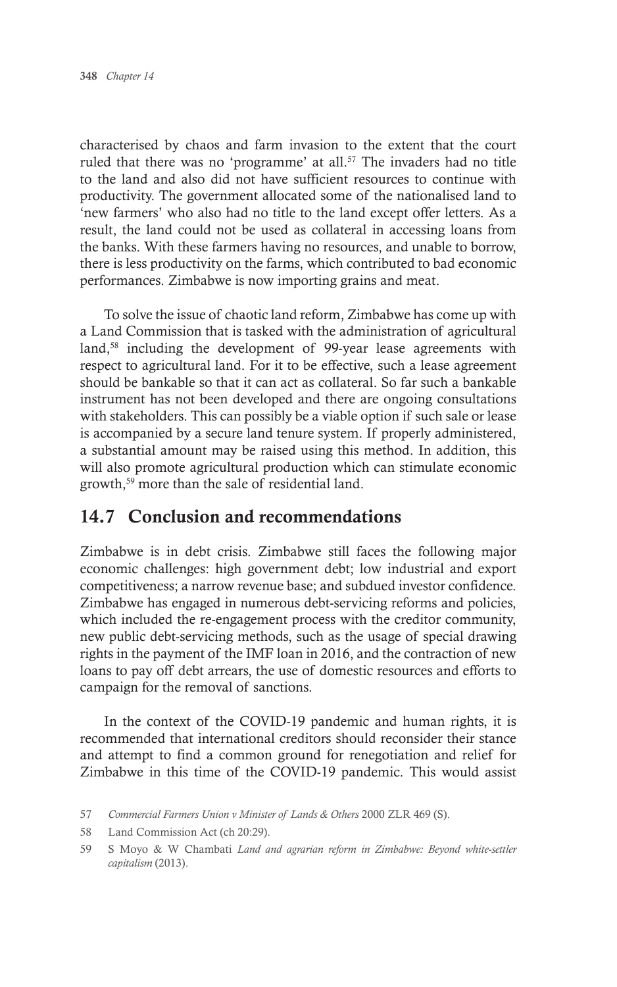characterised by chaos and farm invasion to the extent that the court ruled that there was no 'programme' at all.<sup>57</sup> The invaders had no title to the land and also did not have sufficient resources to continue with productivity. The government allocated some of the nationalised land to 'new farmers' who also had no title to the land except offer letters. As a result, the land could not be used as collateral in accessing loans from the banks. With these farmers having no resources, and unable to borrow, there is less productivity on the farms, which contributed to bad economic performances. Zimbabwe is now importing grains and meat.

To solve the issue of chaotic land reform, Zimbabwe has come up with a Land Commission that is tasked with the administration of agricultural land,<sup>58</sup> including the development of 99-year lease agreements with respect to agricultural land. For it to be effective, such a lease agreement should be bankable so that it can act as collateral. So far such a bankable instrument has not been developed and there are ongoing consultations with stakeholders. This can possibly be a viable option if such sale or lease is accompanied by a secure land tenure system. If properly administered, a substantial amount may be raised using this method. In addition, this will also promote agricultural production which can stimulate economic growth,59 more than the sale of residential land.

## 14.7 Conclusion and recommendations

Zimbabwe is in debt crisis. Zimbabwe still faces the following major economic challenges: high government debt; low industrial and export competitiveness; a narrow revenue base; and subdued investor confidence. Zimbabwe has engaged in numerous debt-servicing reforms and policies, which included the re-engagement process with the creditor community, new public debt-servicing methods, such as the usage of special drawing rights in the payment of the IMF loan in 2016, and the contraction of new loans to pay off debt arrears, the use of domestic resources and efforts to campaign for the removal of sanctions.

In the context of the COVID-19 pandemic and human rights, it is recommended that international creditors should reconsider their stance and attempt to find a common ground for renegotiation and relief for Zimbabwe in this time of the COVID-19 pandemic. This would assist

<sup>57</sup> *Commercial Farmers Union v Minister of Lands & Others* 2000 ZLR 469 (S).

<sup>58</sup> Land Commission Act (ch 20:29).

<sup>59</sup> S Moyo & W Chambati *Land and agrarian reform in Zimbabwe: Beyond white-settler capitalism* (2013).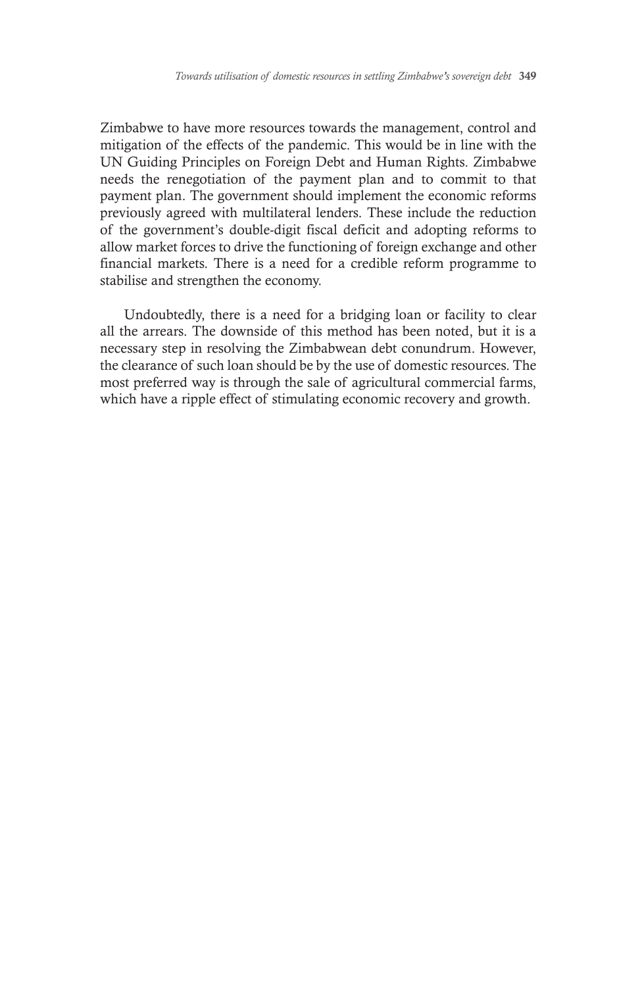Zimbabwe to have more resources towards the management, control and mitigation of the effects of the pandemic. This would be in line with the UN Guiding Principles on Foreign Debt and Human Rights. Zimbabwe needs the renegotiation of the payment plan and to commit to that payment plan. The government should implement the economic reforms previously agreed with multilateral lenders. These include the reduction of the government's double-digit fiscal deficit and adopting reforms to allow market forces to drive the functioning of foreign exchange and other financial markets. There is a need for a credible reform programme to stabilise and strengthen the economy.

Undoubtedly, there is a need for a bridging loan or facility to clear all the arrears. The downside of this method has been noted, but it is a necessary step in resolving the Zimbabwean debt conundrum. However, the clearance of such loan should be by the use of domestic resources. The most preferred way is through the sale of agricultural commercial farms, which have a ripple effect of stimulating economic recovery and growth.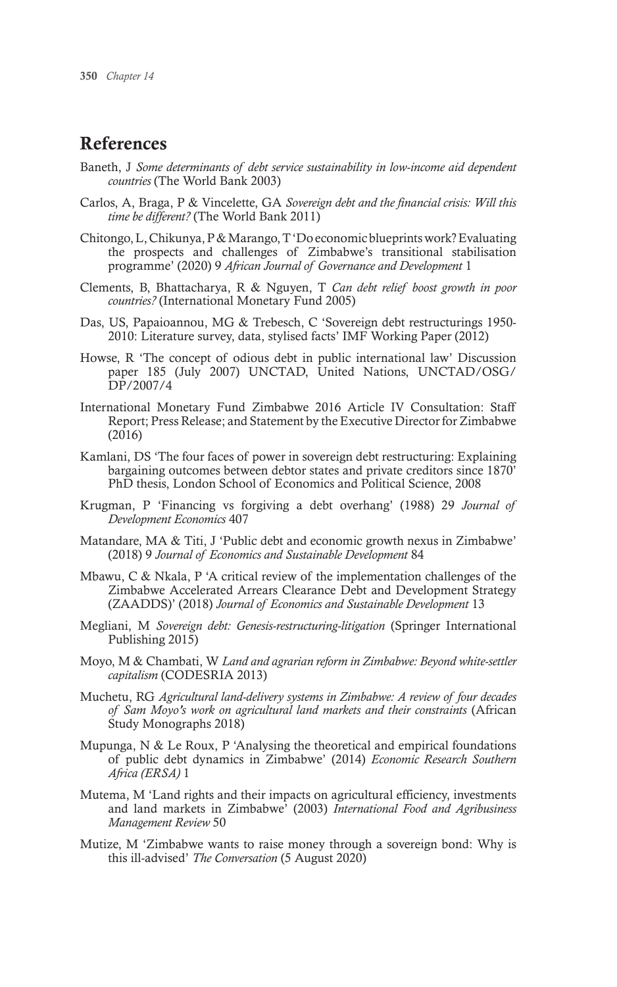# References

- Baneth, J *Some determinants of debt service sustainability in low-income aid dependent countries* (The World Bank 2003)
- Carlos, A, Braga, P & Vincelette, GA *Sovereign debt and the financial crisis: Will this time be different?* (The World Bank 2011)
- Chitongo, L, Chikunya, P & Marango, T 'Do economic blueprints work? Evaluating the prospects and challenges of Zimbabwe's transitional stabilisation programme' (2020) 9 *African Journal of Governance and Development* 1
- Clements, B, Bhattacharya, R & Nguyen, T *Can debt relief boost growth in poor countries?* (International Monetary Fund 2005)
- Das, US, Papaioannou, MG & Trebesch, C 'Sovereign debt restructurings 1950- 2010: Literature survey, data, stylised facts' IMF Working Paper (2012)
- Howse, R 'The concept of odious debt in public international law' Discussion paper 185 (July 2007) UNCTAD, United Nations, UNCTAD/OSG/ DP/2007/4
- International Monetary Fund Zimbabwe 2016 Article IV Consultation: Staff Report; Press Release; and Statement by the Executive Director for Zimbabwe (2016)
- Kamlani, DS 'The four faces of power in sovereign debt restructuring: Explaining bargaining outcomes between debtor states and private creditors since 1870' PhD thesis, London School of Economics and Political Science, 2008
- Krugman, P 'Financing vs forgiving a debt overhang' (1988) 29 *Journal of Development Economics* 407
- Matandare, MA & Titi, J 'Public debt and economic growth nexus in Zimbabwe' (2018) 9 *Journal of Economics and Sustainable Development* 84
- Mbawu, C & Nkala, P 'A critical review of the implementation challenges of the Zimbabwe Accelerated Arrears Clearance Debt and Development Strategy (ZAADDS)' (2018) *Journal of Economics and Sustainable Development* 13
- Megliani, M *Sovereign debt: Genesis-restructuring-litigation* (Springer International Publishing 2015)
- Moyo, M & Chambati, W *Land and agrarian reform in Zimbabwe: Beyond white-settler capitalism* (CODESRIA 2013)
- Muchetu, RG *Agricultural land-delivery systems in Zimbabwe: A review of four decades of Sam Moyo's work on agricultural land markets and their constraints* (African Study Monographs 2018)
- Mupunga,  $N \&$  Le Roux, P 'Analysing the theoretical and empirical foundations of public debt dynamics in Zimbabwe' (2014) *Economic Research Southern Africa (ERSA)* 1
- Mutema, M 'Land rights and their impacts on agricultural efficiency, investments and land markets in Zimbabwe' (2003) *International Food and Agribusiness Management Review* 50
- Mutize, M 'Zimbabwe wants to raise money through a sovereign bond: Why is this ill-advised' *The Conversation* (5 August 2020)